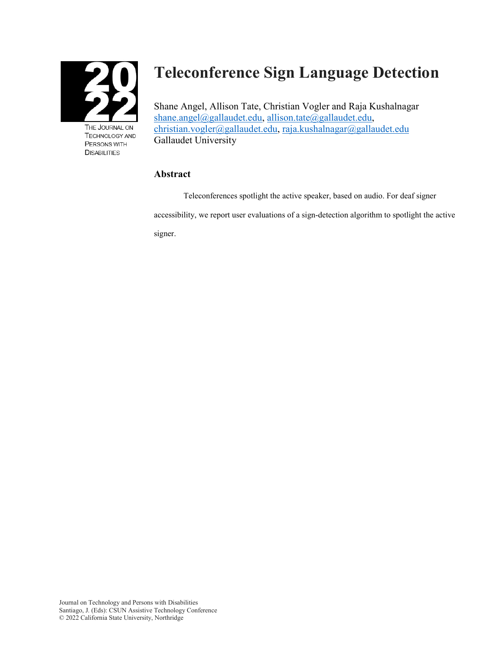

TECHNOLOGY AND PERSONS WITH **DISABILITIES** 

# **Teleconference Sign Language Detection**

Shane Angel, Allison Tate, Christian Vogler and Raja Kushalnagar [shane.angel@gallaudet.edu,](mailto:shane.angel@gallaudet.edu) [allison.tate@gallaudet.edu,](mailto:allison.tate@gallaudet.edu) [christian.vogler@gallaudet.edu,](mailto:christian.vogler@gallaudet.edu) [raja.kushalnagar@gallaudet.edu](mailto:raja.kushalnagar@gallaudet.edu)  Gallaudet University

# **Abstract**

Teleconferences spotlight the active speaker, based on audio. For deaf signer accessibility, we report user evaluations of a sign-detection algorithm to spotlight the active signer.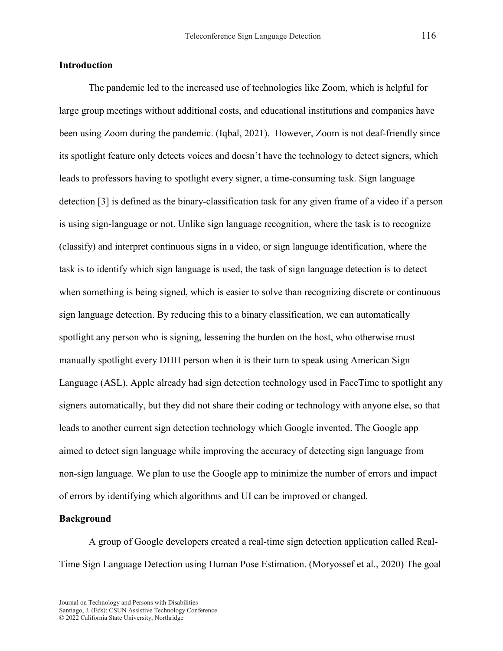## **Introduction**

The pandemic led to the increased use of technologies like Zoom, which is helpful for large group meetings without additional costs, and educational institutions and companies have been using Zoom during the pandemic. (Iqbal, 2021). However, Zoom is not deaf-friendly since its spotlight feature only detects voices and doesn't have the technology to detect signers, which leads to professors having to spotlight every signer, a time-consuming task. Sign language detection [3] is defined as the binary-classification task for any given frame of a video if a person is using sign-language or not. Unlike sign language recognition, where the task is to recognize (classify) and interpret continuous signs in a video, or sign language identification, where the task is to identify which sign language is used, the task of sign language detection is to detect when something is being signed, which is easier to solve than recognizing discrete or continuous sign language detection. By reducing this to a binary classification, we can automatically spotlight any person who is signing, lessening the burden on the host, who otherwise must manually spotlight every DHH person when it is their turn to speak using American Sign Language (ASL). Apple already had sign detection technology used in FaceTime to spotlight any signers automatically, but they did not share their coding or technology with anyone else, so that leads to another current sign detection technology which Google invented. The Google app aimed to detect sign language while improving the accuracy of detecting sign language from non-sign language. We plan to use the Google app to minimize the number of errors and impact of errors by identifying which algorithms and UI can be improved or changed.

## **Background**

A group of Google developers created a real-time sign detection application called Real-Time Sign Language Detection using Human Pose Estimation. (Moryossef et al., 2020) The goal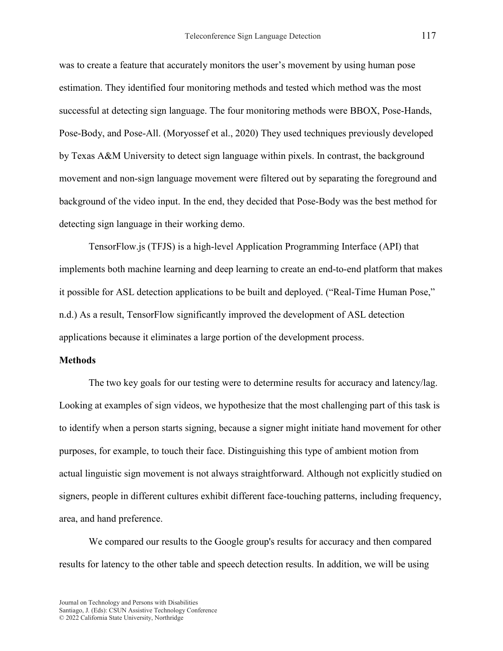was to create a feature that accurately monitors the user's movement by using human pose estimation. They identified four monitoring methods and tested which method was the most successful at detecting sign language. The four monitoring methods were BBOX, Pose-Hands, Pose-Body, and Pose-All. (Moryossef et al., 2020) They used techniques previously developed by Texas A&M University to detect sign language within pixels. In contrast, the background movement and non-sign language movement were filtered out by separating the foreground and background of the video input. In the end, they decided that Pose-Body was the best method for detecting sign language in their working demo.

TensorFlow.js (TFJS) is a high-level Application Programming Interface (API) that implements both machine learning and deep learning to create an end-to-end platform that makes it possible for ASL detection applications to be built and deployed. ("Real-Time Human Pose," n.d.) As a result, TensorFlow significantly improved the development of ASL detection applications because it eliminates a large portion of the development process.

#### **Methods**

The two key goals for our testing were to determine results for accuracy and latency/lag. Looking at examples of sign videos, we hypothesize that the most challenging part of this task is to identify when a person starts signing, because a signer might initiate hand movement for other purposes, for example, to touch their face. Distinguishing this type of ambient motion from actual linguistic sign movement is not always straightforward. Although not explicitly studied on signers, people in different cultures exhibit different face-touching patterns, including frequency, area, and hand preference.

We compared our results to the Google group's results for accuracy and then compared results for latency to the other table and speech detection results. In addition, we will be using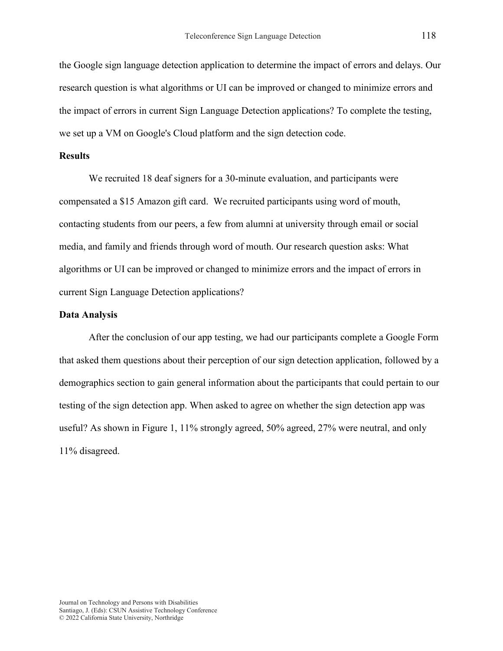the Google sign language detection application to determine the impact of errors and delays. Our research question is what algorithms or UI can be improved or changed to minimize errors and the impact of errors in current Sign Language Detection applications? To complete the testing, we set up a VM on Google's Cloud platform and the sign detection code.

#### **Results**

We recruited 18 deaf signers for a 30-minute evaluation, and participants were compensated a \$15 Amazon gift card. We recruited participants using word of mouth, contacting students from our peers, a few from alumni at university through email or social media, and family and friends through word of mouth. Our research question asks: What algorithms or UI can be improved or changed to minimize errors and the impact of errors in current Sign Language Detection applications?

## **Data Analysis**

After the conclusion of our app testing, we had our participants complete a Google Form that asked them questions about their perception of our sign detection application, followed by a demographics section to gain general information about the participants that could pertain to our testing of the sign detection app. When asked to agree on whether the sign detection app was useful? As shown in Figure 1, 11% strongly agreed, 50% agreed, 27% were neutral, and only 11% disagreed.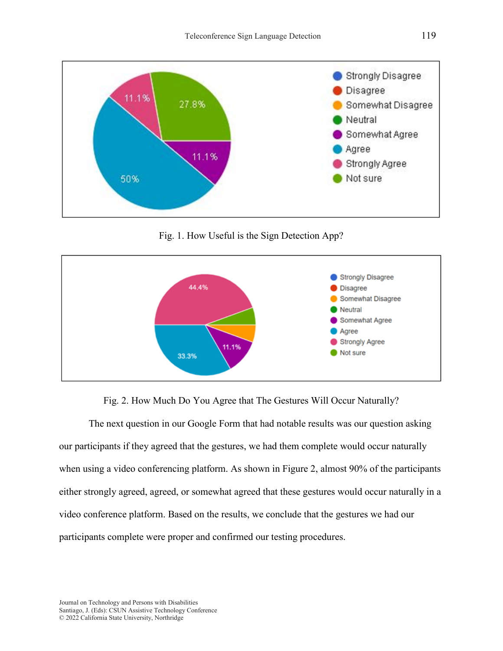

Fig. 1. How Useful is the Sign Detection App?



Fig. 2. How Much Do You Agree that The Gestures Will Occur Naturally?

The next question in our Google Form that had notable results was our question asking our participants if they agreed that the gestures, we had them complete would occur naturally when using a video conferencing platform. As shown in Figure 2, almost 90% of the participants either strongly agreed, agreed, or somewhat agreed that these gestures would occur naturally in a video conference platform. Based on the results, we conclude that the gestures we had our participants complete were proper and confirmed our testing procedures.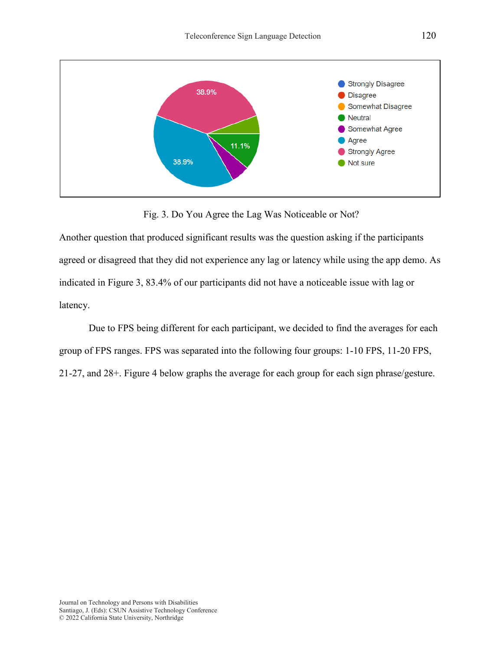

Fig. 3. Do You Agree the Lag Was Noticeable or Not?

Another question that produced significant results was the question asking if the participants agreed or disagreed that they did not experience any lag or latency while using the app demo. As indicated in Figure 3, 83.4% of our participants did not have a noticeable issue with lag or latency.

Due to FPS being different for each participant, we decided to find the averages for each group of FPS ranges. FPS was separated into the following four groups: 1-10 FPS, 11-20 FPS, 21-27, and 28+. Figure 4 below graphs the average for each group for each sign phrase/gesture.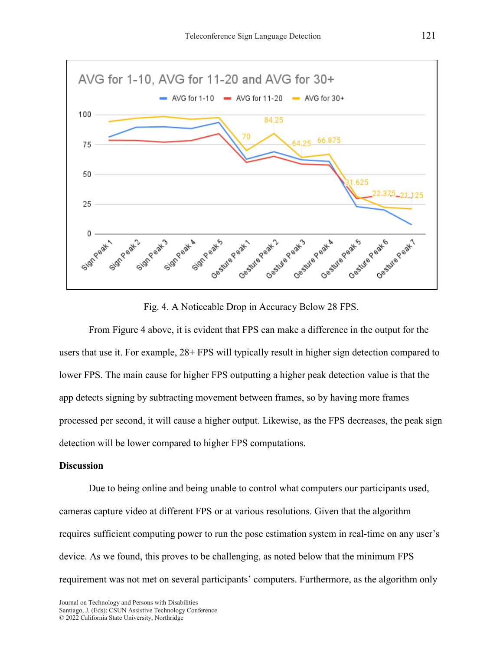

Fig. 4. A Noticeable Drop in Accuracy Below 28 FPS.

From Figure 4 above, it is evident that FPS can make a difference in the output for the users that use it. For example, 28+ FPS will typically result in higher sign detection compared to lower FPS. The main cause for higher FPS outputting a higher peak detection value is that the app detects signing by subtracting movement between frames, so by having more frames processed per second, it will cause a higher output. Likewise, as the FPS decreases, the peak sign detection will be lower compared to higher FPS computations.

# **Discussion**

Due to being online and being unable to control what computers our participants used, cameras capture video at different FPS or at various resolutions. Given that the algorithm requires sufficient computing power to run the pose estimation system in real-time on any user's device. As we found, this proves to be challenging, as noted below that the minimum FPS requirement was not met on several participants' computers. Furthermore, as the algorithm only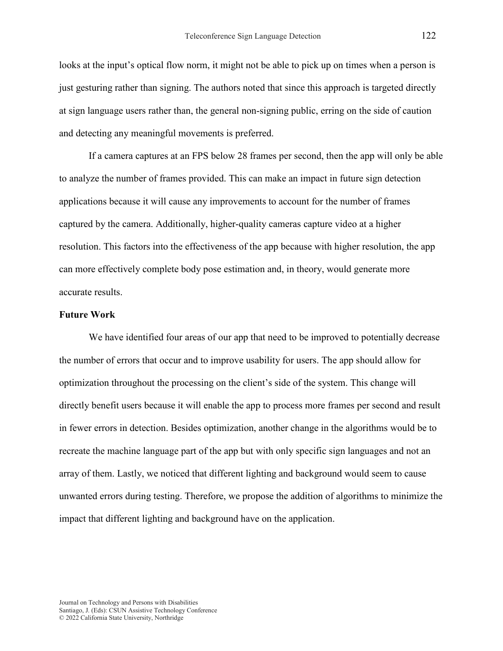looks at the input's optical flow norm, it might not be able to pick up on times when a person is just gesturing rather than signing. The authors noted that since this approach is targeted directly at sign language users rather than, the general non-signing public, erring on the side of caution and detecting any meaningful movements is preferred.

If a camera captures at an FPS below 28 frames per second, then the app will only be able to analyze the number of frames provided. This can make an impact in future sign detection applications because it will cause any improvements to account for the number of frames captured by the camera. Additionally, higher-quality cameras capture video at a higher resolution. This factors into the effectiveness of the app because with higher resolution, the app can more effectively complete body pose estimation and, in theory, would generate more accurate results.

#### **Future Work**

We have identified four areas of our app that need to be improved to potentially decrease the number of errors that occur and to improve usability for users. The app should allow for optimization throughout the processing on the client's side of the system. This change will directly benefit users because it will enable the app to process more frames per second and result in fewer errors in detection. Besides optimization, another change in the algorithms would be to recreate the machine language part of the app but with only specific sign languages and not an array of them. Lastly, we noticed that different lighting and background would seem to cause unwanted errors during testing. Therefore, we propose the addition of algorithms to minimize the impact that different lighting and background have on the application.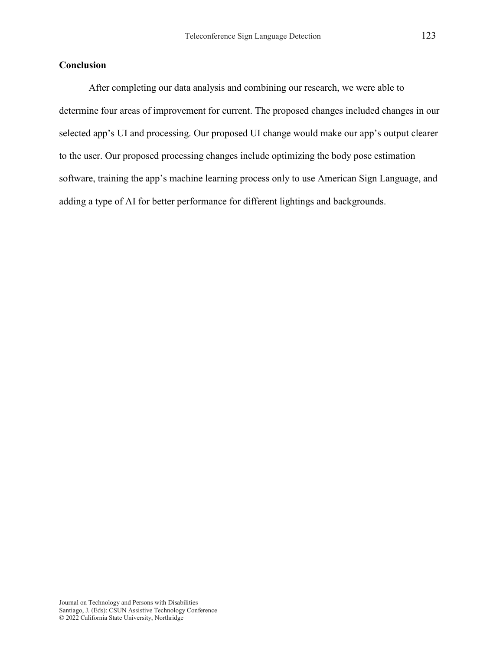# **Conclusion**

After completing our data analysis and combining our research, we were able to determine four areas of improvement for current. The proposed changes included changes in our selected app's UI and processing. Our proposed UI change would make our app's output clearer to the user. Our proposed processing changes include optimizing the body pose estimation software, training the app's machine learning process only to use American Sign Language, and adding a type of AI for better performance for different lightings and backgrounds.